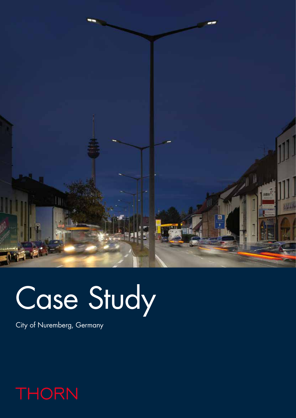

# Case Study

City of Nuremberg, Germany

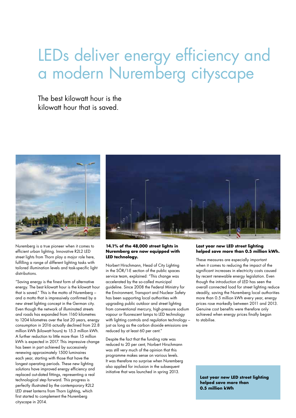# LEDs deliver energy efficiency and a modern Nuremberg cityscape

The best kilowatt hour is the kilowatt hour that is saved.



Nuremberg is a true pioneer when it comes to efficient urban lighting. Innovative R2L2 LED street lights from Thorn play a major role here, fulfilling a range of different lighting tasks with tailored illumination levels and task-specific light distributions.

"Saving energy is the finest form of alternative energy. The best kilowatt hour is the kilowatt hour that is saved." This is the motto of Nuremberg – and a motto that is impressively confirmed by a new street lighting concept in the German city. Even though the network of illuminated streets and roads has expanded from 1160 kilometres to 1204 kilometres over the last 20 years, energy consumption in 2016 actually declined from 22.8 million kWh (kilowatt hours) to 15.3 million kWh. A further reduction to little more than 15 million kWh is expected in 2017. This impressive change has been in part achieved by successively renewing approximately 1500 luminaires each year, starting with those that have the longest operating periods. These new lighting solutions have improved energy efficiency and replaced out-dated fittings, representing a real technological step forward. This progress is perfectly illustrated by the contemporary R2L2 LED street lanterns from Thorn Lighting, which first started to complement the Nuremberg cityscape in 2014.



# **14.1% of the 48,000 street lights in Nuremberg are now equipped with LED technology.**

Norbert Hirschmann, Head of City Lighting in the SÖR/1-E section of the public spaces service team, explained: "This change was accelerated by the so-called municipal guideline. Since 2008 the Federal Ministry for the Environment, Transport and Nuclear Safety has been supporting local authorities with upgrading public outdoor and street lighting from conventional mercury, high-pressure sodium vapour or fluorescent lamps to LED technology with lighting controls and regulation technology – just as long as the carbon dioxide emissions are reduced by at least 60 per cent."

Despite the fact that the funding rate was reduced to 20 per cent, Norbert Hirschmann was still very much of the opinion that this programme makes sense on various levels. It was therefore no surprise when Nuremberg also applied for inclusion in the subsequent initiative that was launched in spring 2013.

## **Last year new LED street lighting helped save more than 0.5 million kWh.**

These measures are especially important when it comes to reducing the impact of the significant increases in electricity costs caused by recent renewable energy legislation. Even though the introduction of LED has seen the overall connected load for street lighting reduce steadily, saving the Nuremberg local authorities more than 0.5 million kWh every year, energy prices rose markedly between 2011 and 2013. Genuine cost benefits were therefore only achieved when energy prices finally began to stabilise.

**Last year new LED street lighting helped save more than 0.5 million kWh**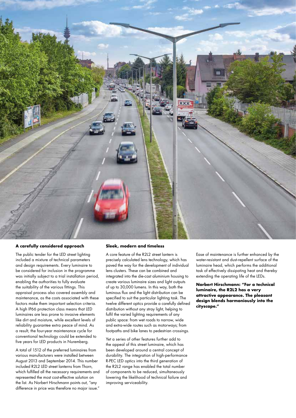

#### **A carefully considered approach**

The public tender for the LED street lighting included a mixture of technical parameters and design requirements. Every luminaire to be considered for inclusion in the programme was initially subject to a trial installation period, enabling the authorities to fully evaluate the suitability of the various fittings. This appraisal process also covered assembly and maintenance, as the costs associated with these factors make them important selection criteria. A high IP66 protection class means that LED luminaires are less prone to invasive elements like dirt and moisture, while excellent levels of reliability guarantee extra peace of mind. As a result, the four-year maintenance cycle for conventional technology could be extended to five years for LED products in Nuremberg.

A total of 1512 of the preferred luminaires from various manufacturers were installed between August 2013 and September 2014. This number included R2L2 LED street lanterns from Thorn, which fulfilled all the necessary requirements and represented the most cost-effective solution on the list. As Norbert Hirschmann points out, "any difference in price was therefore no major issue."

#### **Sleek, modern and timeless**

A core feature of the R2L2 street lantern is precisely calculated lens technology, which has paved the way for the development of individual lens clusters. These can be combined and integrated into the die-cast aluminium housing to create various luminaire sizes and light outputs of up to 30,000 lumens. In this way, both the luminous flux and the light distribution can be specified to suit the particular lighting task. The twelve different optics provide a carefully defined distribution without any stray light, helping to fulfil the varied lighting requirements of any public space: from wet roads to narrow, wide and extra-wide routes such as motorways; from footpaths and bike lanes to pedestrian crossings.

Yet a series of other features further add to the appeal of this street luminaire, which has been developed around a central concept of durability. The integration of high-performance R-PEC LED optics into the third generation of the R2L2 range has enabled the total number of components to be reduced, simultaneously lowering the likelihood of technical failure and improving serviceability.

Ease of maintenance is further enhanced by the water-resistant and dust-repellent surface of the luminaire head, which performs the additional task of effectively dissipating heat and thereby extending the operating life of the LEDs.

**Norbert Hirschmann: "For a technical luminaire, the R2L2 has a very attractive appearance. The pleasant design blends harmoniously into the cityscape."**